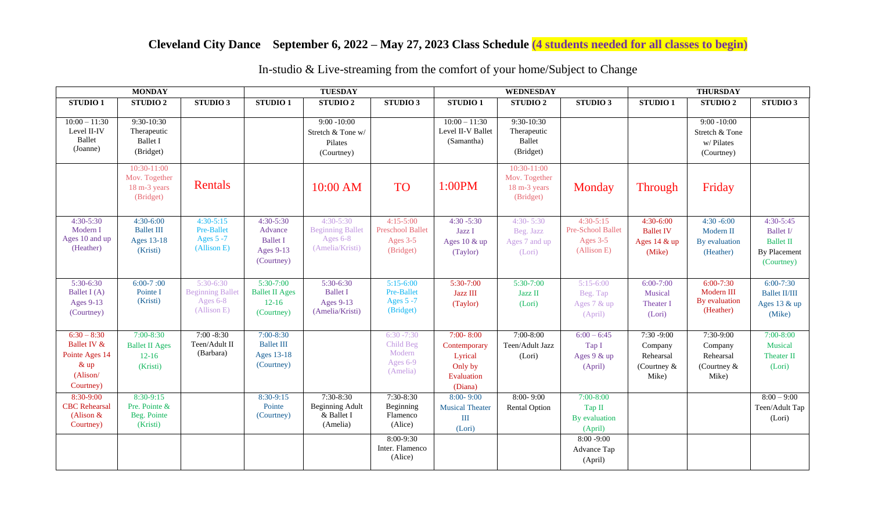## **Cleveland City Dance September 6, 2022 – May 27, 2023 Class Schedule (4 students needed for all classes to begin)**

| <b>MONDAY</b>                                                                     |                                                                 |                                                                   | <b>TUESDAY</b>                                                         |                                                                       |                                                                                          | <b>WEDNESDAY</b>                                                             |                                                           |                                                                                              | <b>THURSDAY</b>                                               |                                                             |                                                                            |
|-----------------------------------------------------------------------------------|-----------------------------------------------------------------|-------------------------------------------------------------------|------------------------------------------------------------------------|-----------------------------------------------------------------------|------------------------------------------------------------------------------------------|------------------------------------------------------------------------------|-----------------------------------------------------------|----------------------------------------------------------------------------------------------|---------------------------------------------------------------|-------------------------------------------------------------|----------------------------------------------------------------------------|
| <b>STUDIO1</b>                                                                    | STUDIO <sub>2</sub>                                             | STUDIO 3                                                          | <b>STUDIO1</b>                                                         | STUDIO <sub>2</sub>                                                   | <b>STUDIO 3</b>                                                                          | <b>STUDIO1</b>                                                               | <b>STUDIO2</b>                                            | STUDIO 3                                                                                     | <b>STUDIO1</b>                                                | <b>STUDIO 2</b>                                             | STUDIO 3                                                                   |
| $10:00 - 11:30$<br>Level II-IV<br>Ballet<br>(Joanne)                              | $9:30-10:30$<br>Therapeutic<br><b>Ballet I</b><br>(Bridget)     |                                                                   |                                                                        | $9:00 - 10:00$<br>Stretch & Tone w/<br>Pilates<br>(Courtney)          |                                                                                          | $10:00 - 11:30$<br>Level II-V Ballet<br>(Samantha)                           | $9:30-10:30$<br>Therapeutic<br>Ballet<br>(Bridget)        |                                                                                              |                                                               | $9:00 - 10:00$<br>Stretch & Tone<br>w/Pilates<br>(Courtney) |                                                                            |
|                                                                                   | 10:30-11:00<br>Mov. Together<br>18 m-3 years<br>(Bridget)       | Rentals                                                           |                                                                        | 10:00 AM                                                              | <b>TO</b>                                                                                | 1:00PM                                                                       | 10:30-11:00<br>Mov. Together<br>18 m-3 years<br>(Bridget) | Monday                                                                                       | <b>Through</b>                                                | Friday                                                      |                                                                            |
| $4:30 - 5:30$<br>Modern I<br>Ages 10 and up<br>(Heather)                          | $4:30-6:00$<br><b>Ballet III</b><br>Ages 13-18<br>(Kristi)      | $4:30-5:15$<br>Pre-Ballet<br>Ages 5 -7<br>(Allison E)             | $4:30 - 5:30$<br>Advance<br><b>Ballet I</b><br>Ages 9-13<br>(Courtney) | $4:30-5:30$<br><b>Beginning Ballet</b><br>Ages 6-8<br>(Amelia/Kristi) | $4:15-5:00$<br><b>Preschool Ballet</b><br>Ages 3-5<br>(Bridget)                          | $4:30 - 5:30$<br>Jazz I<br>Ages 10 & up<br>(Taylor)                          | $4:30 - 5:30$<br>Beg. Jazz<br>Ages 7 and up<br>(Lori)     | $4:30-5:15$<br>Pre-School Ballet<br>Ages $3-5$<br>(Allison E)                                | 4:30-6:00<br><b>Ballet IV</b><br>Ages 14 & up<br>(Mike)       | $4:30 - 6:00$<br>Modern II<br>By evaluation<br>(Heather)    | $4:30-5:45$<br>Ballet I/<br><b>Ballet II</b><br>By Placement<br>(Courtney) |
| 5:30-6:30<br>Ballet $I(A)$<br>Ages 9-13<br>(Courtney)                             | $6:00-7:00$<br>Pointe I<br>(Kristi)                             | $5:30-6:30$<br><b>Beginning Ballet</b><br>Ages 6-8<br>(Allison E) | $5:30-7:00$<br><b>Ballet II Ages</b><br>$12-16$<br>(Courtney)          | 5:30-6:30<br><b>Ballet I</b><br>Ages 9-13<br>(Amelia/Kristi)          | $5:15-6:00$<br>Pre-Ballet<br>Ages 5 -7<br>(Bridget)                                      | $5:30-7:00$<br>Jazz III<br>(Taylor)                                          | $5:30-7:00$<br>Jazz II<br>(Lori)                          | $5:15-6:00$<br>Beg. Tap<br>Ages 7 & up<br>(April)                                            | $6:00 - 7:00$<br>Musical<br>Theater I<br>(Lori)               | $6:00 - 7:30$<br>Modern III<br>By evaluation<br>(Heather)   | $6:00 - 7:30$<br><b>Ballet II/III</b><br>Ages 13 & up<br>(Mike)            |
| $6:30 - 8:30$<br>Ballet IV &<br>Pointe Ages 14<br>$&$ up<br>(Alison/<br>Courtney) | $7:00 - 8:30$<br><b>Ballet II Ages</b><br>$12 - 16$<br>(Kristi) | $7:00 - 8:30$<br>Teen/Adult II<br>(Barbara)                       | $7:00 - 8:30$<br><b>Ballet III</b><br>Ages 13-18<br>(Courtney)         |                                                                       | $6:30 - 7:30$<br>Child Beg<br>Modern<br>Ages 6-9<br>(Amelia)                             | $7:00 - 8:00$<br>Contemporary<br>Lyrical<br>Only by<br>Evaluation<br>(Diana) | $7:00 - 8:00$<br>Teen/Adult Jazz<br>(Lori)                | $6:00 - 6:45$<br>Tap I<br>Ages $9 &$ up<br>(April)                                           | $7:30 - 9:00$<br>Company<br>Rehearsal<br>(Courtney &<br>Mike) | $7:30-9:00$<br>Company<br>Rehearsal<br>(Courtney &<br>Mike) | $7:00 - 8:00$<br>Musical<br>Theater II<br>(Lori)                           |
| 8:30-9:00<br><b>CBC</b> Rehearsal<br>(Alison $&$<br>Courtney)                     | 8:30-9:15<br>Pre. Pointe &<br>Beg. Pointe<br>(Kristi)           |                                                                   | 8:30-9:15<br>Pointe<br>(Courtney)                                      | $7:30-8:30$<br><b>Beginning Adult</b><br>& Ballet I<br>(Amelia)       | 7:30-8:30<br>Beginning<br>Flamenco<br>(Alice)<br>8:00-9:30<br>Inter. Flamenco<br>(Alice) | $8:00 - 9:00$<br><b>Musical Theater</b><br>III<br>(Lori)                     | $8:00 - 9:00$<br><b>Rental Option</b>                     | $7:00-8:00$<br>Tap II<br>By evaluation<br>(April)<br>$8:00 - 9:00$<br>Advance Tap<br>(April) |                                                               |                                                             | $8:00 - 9:00$<br>Teen/Adult Tap<br>(Lori)                                  |

In-studio & Live-streaming from the comfort of your home/Subject to Change